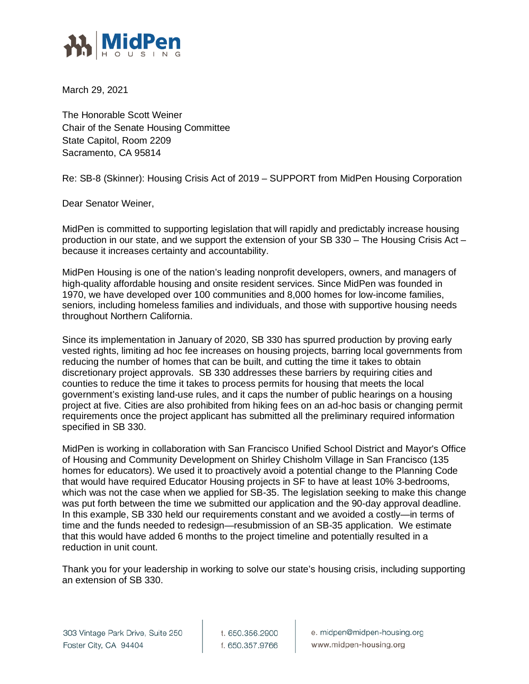

March 29, 2021

The Honorable Scott Weiner Chair of the Senate Housing Committee State Capitol, Room 2209 Sacramento, CA 95814

Re: SB-8 (Skinner): Housing Crisis Act of 2019 – SUPPORT from MidPen Housing Corporation

Dear Senator Weiner,

MidPen is committed to supporting legislation that will rapidly and predictably increase housing production in our state, and we support the extension of your SB 330 – The Housing Crisis Act – because it increases certainty and accountability.

MidPen Housing is one of the nation's leading nonprofit developers, owners, and managers of high-quality affordable housing and onsite resident services. Since MidPen was founded in 1970, we have developed over 100 communities and 8,000 homes for low-income families, seniors, including homeless families and individuals, and those with supportive housing needs throughout Northern California.

Since its implementation in January of 2020, SB 330 has spurred production by proving early vested rights, limiting ad hoc fee increases on housing projects, barring local governments from reducing the number of homes that can be built, and cutting the time it takes to obtain discretionary project approvals. SB 330 addresses these barriers by requiring cities and counties to reduce the time it takes to process permits for housing that meets the local government's existing land-use rules, and it caps the number of public hearings on a housing project at five. Cities are also prohibited from hiking fees on an ad-hoc basis or changing permit requirements once the project applicant has submitted all the preliminary required information specified in SB 330.

MidPen is working in collaboration with San Francisco Unified School District and Mayor's Office of Housing and Community Development on Shirley Chisholm Village in San Francisco (135 homes for educators). We used it to proactively avoid a potential change to the Planning Code that would have required Educator Housing projects in SF to have at least 10% 3-bedrooms, which was not the case when we applied for SB-35. The legislation seeking to make this change was put forth between the time we submitted our application and the 90-day approval deadline. In this example, SB 330 held our requirements constant and we avoided a costly—in terms of time and the funds needed to redesign—resubmission of an SB-35 application. We estimate that this would have added 6 months to the project timeline and potentially resulted in a reduction in unit count.

Thank you for your leadership in working to solve our state's housing crisis, including supporting an extension of SB 330.